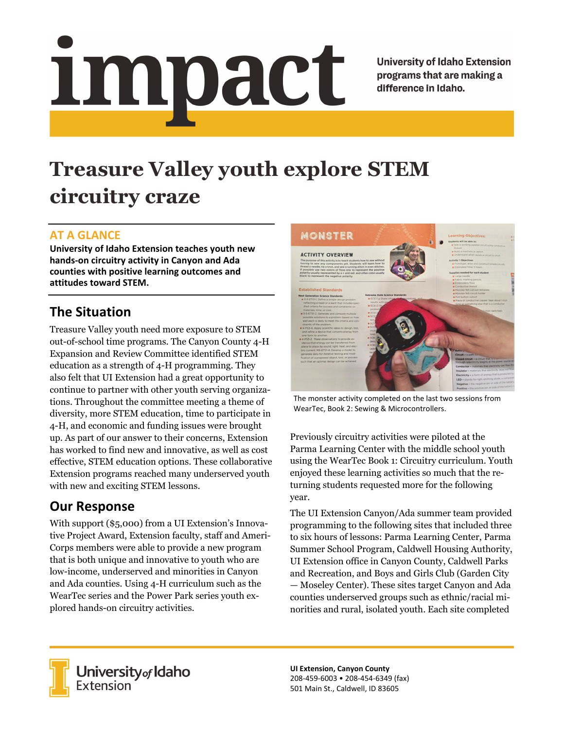# impact

**University of Idaho Extension** programs that are making a difference in Idaho.

# **Treasure Valley youth explore STEM circuitry craze**

#### **AT A GLANCE**

**University of Idaho Extension teaches youth new hands‐on circuitry activity in Canyon and Ada counties with positive learning outcomes and attitudes toward STEM.**

# **The Situation**

Treasure Valley youth need more exposure to STEM out-of-school time programs. The Canyon County 4-H Expansion and Review Committee identified STEM education as a strength of 4-H programming. They also felt that UI Extension had a great opportunity to continue to partner with other youth serving organizations. Throughout the committee meeting a theme of diversity, more STEM education, time to participate in 4-H, and economic and funding issues were brought up. As part of our answer to their concerns, Extension has worked to find new and innovative, as well as cost effective, STEM education options. These collaborative Extension programs reached many underserved youth with new and exciting STEM lessons.

## **Our Response**

With support (\$5,000) from a UI Extension's Innovative Project Award, Extension faculty, staff and Ameri-Corps members were able to provide a new program that is both unique and innovative to youth who are low-income, underserved and minorities in Canyon and Ada counties. Using 4-H curriculum such as the WearTec series and the Power Park series youth explored hands-on circuitry activities.



The monster activity completed on the last two sessions from WearTec, Book 2: Sewing & Microcontrollers.

Previously circuitry activities were piloted at the Parma Learning Center with the middle school youth using the WearTec Book 1: Circuitry curriculum. Youth enjoyed these learning activities so much that the returning students requested more for the following year.

The UI Extension Canyon/Ada summer team provided programming to the following sites that included three to six hours of lessons: Parma Learning Center, Parma Summer School Program, Caldwell Housing Authority, UI Extension office in Canyon County, Caldwell Parks and Recreation, and Boys and Girls Club (Garden City — Moseley Center). These sites target Canyon and Ada counties underserved groups such as ethnic/racial minorities and rural, isolated youth. Each site completed



**University** of Idaho<br>Extension

**UI Extension, Canyon County** 208‐459‐6003 • 208‐454‐6349 (fax) 501 Main St., Caldwell, ID 83605